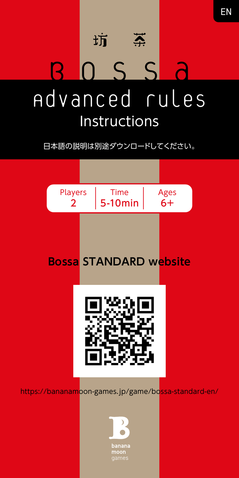

日本語の説明は別途ダウンロードしてください。

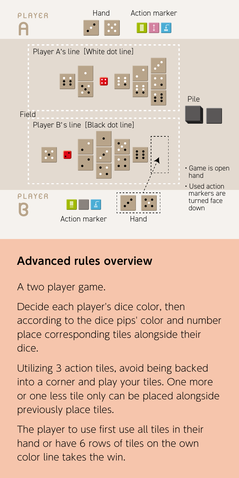

## **Advanced rules overview**

A two player game.

Decide each player's dice color, then according to the dice pips' color and number place corresponding tiles alongside their dice.

Utilizing 3 action tiles, avoid being backed into a corner and play your tiles. One more or one less tile only can be placed alongside previously place tiles.

The player to use first use all tiles in their hand or have 6 rows of tiles on the own color line takes the win.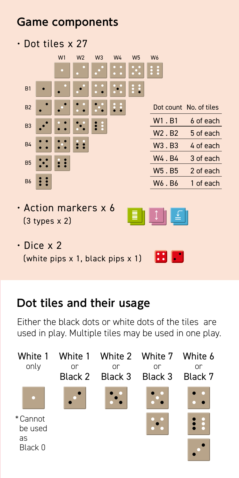## **Game components**

• Dot tiles x 27

|                                                    |   | W1 | W <sub>2</sub> | W <sub>3</sub> | W4 | W <sub>5</sub> | W <sub>6</sub>                 |                        |
|----------------------------------------------------|---|----|----------------|----------------|----|----------------|--------------------------------|------------------------|
|                                                    |   |    |                |                |    |                | ÷                              |                        |
| B1                                                 |   |    |                |                |    | ÷<br>å         |                                |                        |
| B <sub>2</sub>                                     |   |    |                |                |    |                |                                | Dot count No. of tiles |
| B <sub>3</sub>                                     |   |    |                | ∷              |    |                | W <sub>1</sub> .B <sub>1</sub> | 6 of each              |
|                                                    |   |    |                |                |    |                | W <sub>2</sub> .B <sub>2</sub> | 5 of each              |
| <b>B4</b>                                          |   |    |                |                |    |                | W3.B3                          | 4 of each              |
| B <sub>5</sub>                                     |   |    |                |                |    |                | W4.B4                          | 3 of each              |
|                                                    |   |    |                |                |    |                | W5.B5                          | 2 of each              |
| B <sub>6</sub>                                     | H |    |                |                |    |                | W6.B6                          | 1 of each              |
| $\cdot$ Action markers x 6<br>$(3 types \times 2)$ |   |    |                |                |    |                |                                |                        |
| • Dice x 2<br>(white pips x 1, black pips x 1)     |   |    |                |                |    |                |                                |                        |

### **Dot tiles and their usage**

Either the black dots or white dots of the tiles are used in play. Multiple tiles may be used in one play.

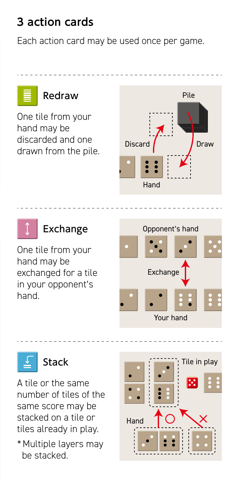## **3 action cards**

Each action card may be used once per game.

## One tile from your hand may be discarded and one drawn from the pile. **Redraw** Pile Discard Draw

## Exchange

One tile from your hand may be exchanged for a tile in your opponent's hand.

# Opponent's hand Exchange Your hand

Hand

A tile or the same number of tiles of the same score may be stacked on a tile or tiles already in play.

Stack

\* Multiple layers may be stacked.

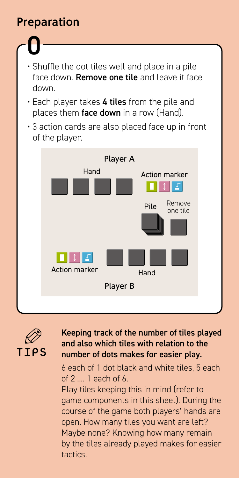## **Preparation**

- 0 • Shuffle the dot tiles well and place in a pile face down. **Remove one tile** and leave it face down.
- Each player takes 4 tiles from the pile and places them face down in a row (Hand).
- 3 action cards are also placed face up in front of the player.





#### Keeping track of the number of tiles played and also which tiles with relation to the number of dots makes for easier play.

6 each of 1 dot black and white tiles, 5 each of 2 .... 1 each of 6.

Play tiles keeping this in mind (refer to game components in this sheet). During the course of the game both players' hands are open. How many tiles you want are left? Maybe none? Knowing how many remain by the tiles already played makes for easier tactics.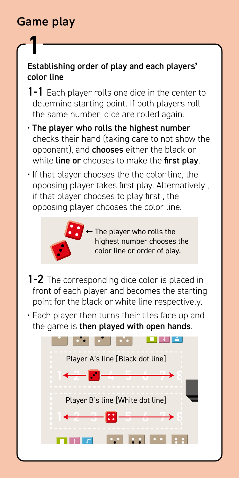## **Game play**

1

#### Establishing order of play and each players' color line

- 1-1 Each player rolls one dice in the center to determine starting point. If both players roll the same number, dice are rolled again.
- The player who rolls the highest number checks their hand (taking care to not show the opponent), and **chooses** either the black or white line or chooses to make the first play.
- If that player chooses the the color line, the opposing player takes first play. Alternatively , if that player chooses to play first , the opposing player chooses the color line.



 $\leftarrow$  The player who rolls the highest number chooses the color line or order of play.

- 1-2 The corresponding dice color is placed in front of each player and becomes the starting point for the black or white line respectively.
- Each player then turns their tiles face up and the game is then played with open hands.

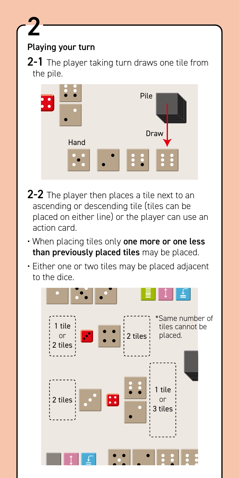#### Playing your turn

2

2-1 The player taking turn draws one tile from the pile.



- 2-2 The player then places a tile next to an ascending or descending tile (tiles can be placed on either line) or the player can use an action card.
- When placing tiles only one more or one less than previously placed tiles may be placed.
- Either one or two tiles may be placed adjacent to the dice.